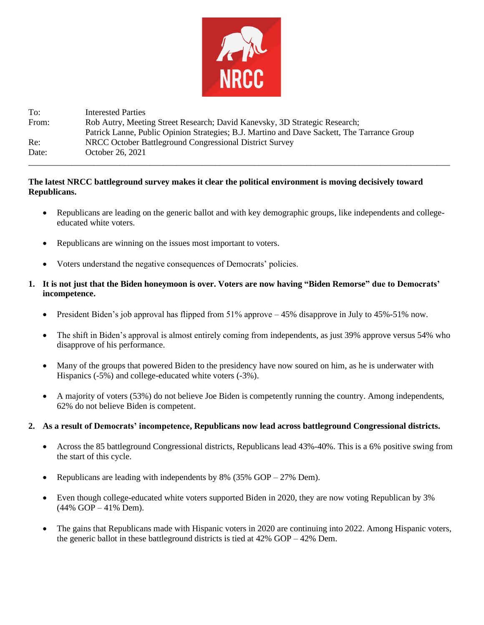

To: Interested Parties From: Rob Autry, Meeting Street Research; David Kanevsky, 3D Strategic Research; Patrick Lanne, Public Opinion Strategies; B.J. Martino and Dave Sackett, The Tarrance Group Re: NRCC October Battleground Congressional District Survey Date: October 26, 2021 \_\_\_\_\_\_\_\_\_\_\_\_\_\_\_\_\_\_\_\_\_\_\_\_\_\_\_\_\_\_\_\_\_\_\_\_\_\_\_\_\_\_\_\_\_\_\_\_\_\_\_\_\_\_\_\_\_\_\_\_\_\_\_\_\_\_\_\_\_\_\_\_\_\_\_\_\_\_\_\_\_\_\_\_\_\_\_\_\_\_\_\_\_\_\_\_\_

## **The latest NRCC battleground survey makes it clear the political environment is moving decisively toward Republicans.**

- Republicans are leading on the generic ballot and with key demographic groups, like independents and collegeeducated white voters.
- Republicans are winning on the issues most important to voters.
- Voters understand the negative consequences of Democrats' policies.
- **1. It is not just that the Biden honeymoon is over. Voters are now having "Biden Remorse" due to Democrats' incompetence.**
	- President Biden's job approval has flipped from 51% approve 45% disapprove in July to 45%-51% now.
	- The shift in Biden's approval is almost entirely coming from independents, as just 39% approve versus 54% who disapprove of his performance.
	- Many of the groups that powered Biden to the presidency have now soured on him, as he is underwater with Hispanics (-5%) and college-educated white voters (-3%).
	- A majority of voters (53%) do not believe Joe Biden is competently running the country. Among independents, 62% do not believe Biden is competent.

## **2. As a result of Democrats' incompetence, Republicans now lead across battleground Congressional districts.**

- Across the 85 battleground Congressional districts, Republicans lead 43%-40%. This is a 6% positive swing from the start of this cycle.
- Republicans are leading with independents by  $8\%$  (35% GOP 27% Dem).
- Even though college-educated white voters supported Biden in 2020, they are now voting Republican by 3% (44% GOP – 41% Dem).
- The gains that Republicans made with Hispanic voters in 2020 are continuing into 2022. Among Hispanic voters, the generic ballot in these battleground districts is tied at 42% GOP – 42% Dem.